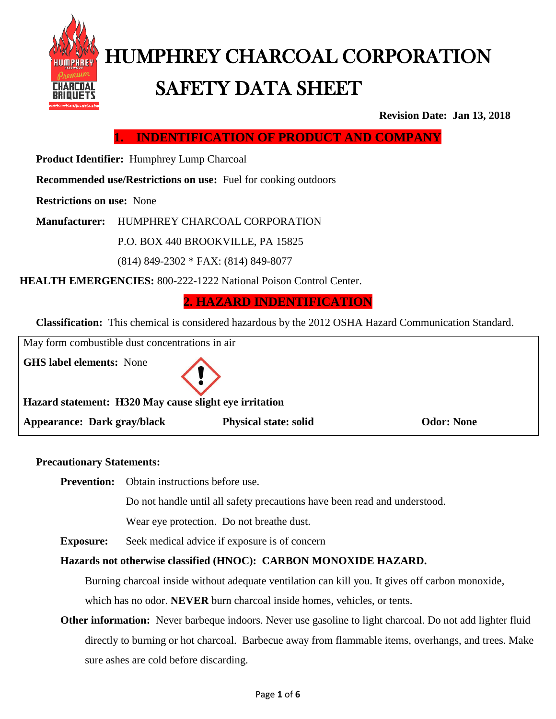

# HUMPHREY CHARCOAL CORPORATION SAFETY DATA SHEET

**Revision Date: Jan 13, 2018**

**1. INDENTIFICATION OF PRODUCT AND COMPANY**

 **Product Identifier:** Humphrey Lump Charcoal

**Recommended use/Restrictions on use:** Fuel for cooking outdoors

**Restrictions on use:** None

**Manufacturer:** HUMPHREY CHARCOAL CORPORATION

P.O. BOX 440 BROOKVILLE, PA 15825

(814) 849-2302 \* FAX: (814) 849-8077

**HEALTH EMERGENCIES:** 800-222-1222 National Poison Control Center.

**2. HAZARD INDENTIFICATION**

**Classification:** This chemical is considered hazardous by the 2012 OSHA Hazard Communication Standard.

| May form combustible dust concentrations in air                                           |                              |                   |  |
|-------------------------------------------------------------------------------------------|------------------------------|-------------------|--|
| <b>GHS label elements:</b> None<br>Hazard statement: H320 May cause slight eye irritation |                              |                   |  |
| Appearance: Dark gray/black                                                               | <b>Physical state: solid</b> | <b>Odor: None</b> |  |

#### **Precautionary Statements:**

**Prevention:** Obtain instructions before use.

Do not handle until all safety precautions have been read and understood.

Wear eye protection. Do not breathe dust.

**Exposure:** Seek medical advice if exposure is of concern

#### **Hazards not otherwise classified (HNOC): CARBON MONOXIDE HAZARD.**

Burning charcoal inside without adequate ventilation can kill you. It gives off carbon monoxide, which has no odor. **NEVER** burn charcoal inside homes, vehicles, or tents.

**Other information:** Never barbeque indoors. Never use gasoline to light charcoal. Do not add lighter fluid directly to burning or hot charcoal. Barbecue away from flammable items, overhangs, and trees. Make sure ashes are cold before discarding.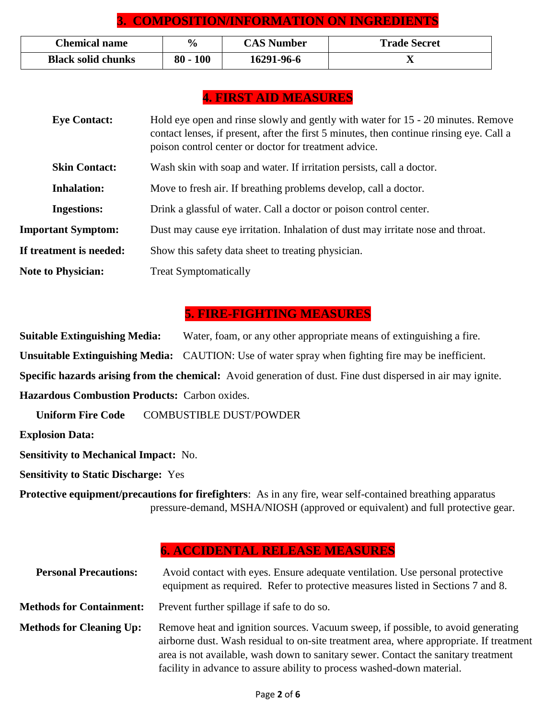# **3. COMPOSITION/INFORMATION ON INGREDIENTS**

| <b>Chemical name</b>      | $\frac{6}{9}$        | <b>CAS Number</b> | <b>Trade Secret</b> |
|---------------------------|----------------------|-------------------|---------------------|
| <b>Black solid chunks</b> | <b>100</b><br>$80 -$ | 16291-96-6        | △                   |

# **4. FIRST AID MEASURES**

| <b>Eye Contact:</b>       | Hold eye open and rinse slowly and gently with water for 15 - 20 minutes. Remove<br>contact lenses, if present, after the first 5 minutes, then continue rinsing eye. Call a<br>poison control center or doctor for treatment advice. |
|---------------------------|---------------------------------------------------------------------------------------------------------------------------------------------------------------------------------------------------------------------------------------|
| <b>Skin Contact:</b>      | Wash skin with soap and water. If irritation persists, call a doctor.                                                                                                                                                                 |
| <b>Inhalation:</b>        | Move to fresh air. If breathing problems develop, call a doctor.                                                                                                                                                                      |
| <b>Ingestions:</b>        | Drink a glassful of water. Call a doctor or poison control center.                                                                                                                                                                    |
| <b>Important Symptom:</b> | Dust may cause eye irritation. Inhalation of dust may irritate nose and throat.                                                                                                                                                       |
| If treatment is needed:   | Show this safety data sheet to treating physician.                                                                                                                                                                                    |
| <b>Note to Physician:</b> | <b>Treat Symptomatically</b>                                                                                                                                                                                                          |

#### **5. FIRE-FIGHTING MEASURES**

**Suitable Extinguishing Media:** Water, foam, or any other appropriate means of extinguishing a fire. **Unsuitable Extinguishing Media:** CAUTION: Use of water spray when fighting fire may be inefficient. **Specific hazards arising from the chemical:** Avoid generation of dust. Fine dust dispersed in air may ignite. **Hazardous Combustion Products:** Carbon oxides.

**Uniform Fire Code COMBUSTIBLE DUST/POWDER** 

**Explosion Data:** 

**Sensitivity to Mechanical Impact:** No.

**Sensitivity to Static Discharge:** Yes

**Protective equipment/precautions for firefighters**: As in any fire, wear self-contained breathing apparatus pressure-demand, MSHA/NIOSH (approved or equivalent) and full protective gear.

# **6. ACCIDENTAL RELEASE MEASURES**

| <b>Personal Precautions:</b>    | Avoid contact with eyes. Ensure adequate ventilation. Use personal protective<br>equipment as required. Refer to protective measures listed in Sections 7 and 8.                                                                                                                                                                            |
|---------------------------------|---------------------------------------------------------------------------------------------------------------------------------------------------------------------------------------------------------------------------------------------------------------------------------------------------------------------------------------------|
|                                 | <b>Methods for Containment:</b> Prevent further spillage if safe to do so.                                                                                                                                                                                                                                                                  |
| <b>Methods for Cleaning Up:</b> | Remove heat and ignition sources. Vacuum sweep, if possible, to avoid generating<br>airborne dust. Wash residual to on-site treatment area, where appropriate. If treatment<br>area is not available, wash down to sanitary sewer. Contact the sanitary treatment<br>facility in advance to assure ability to process washed-down material. |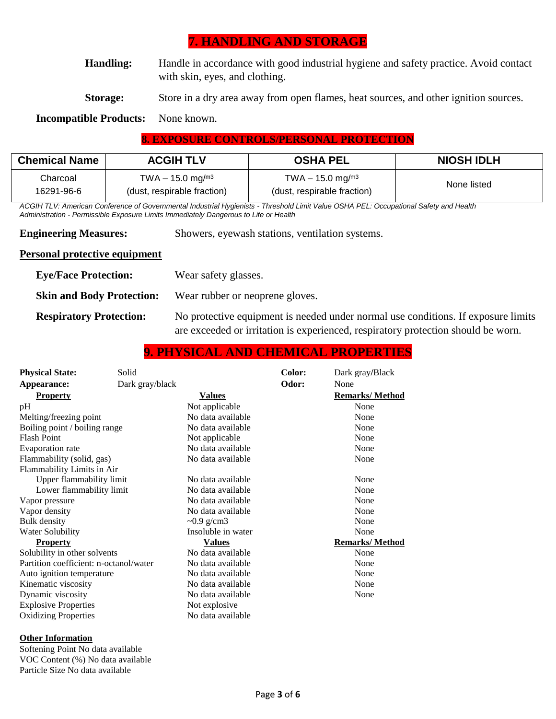# **7. HANDLING AND STORAGE**

**Handling:** Handle in accordance with good industrial hygiene and safety practice. Avoid contact with skin, eyes, and clothing.

**Storage:** Store in a dry area away from open flames, heat sources, and other ignition sources.

#### **Incompatible Products:** None known.

#### **8. EXPOSURE CONTROLS/PERSONAL PROTECTION**

| <b>Chemical Name</b> | <b>ACGIH TLV</b>               | <b>OSHA PEL</b>                | <b>NIOSH IDLH</b> |
|----------------------|--------------------------------|--------------------------------|-------------------|
| Charcoal             | TWA $-$ 15.0 mg/m <sup>3</sup> | TWA $-$ 15.0 mg/m <sup>3</sup> | None listed       |
| 16291-96-6           | (dust, respirable fraction)    | (dust, respirable fraction)    |                   |

*ACGIH TLV: American Conference of Governmental Industrial Hygienists - Threshold Limit Value OSHA PEL: Occupational Safety and Health Administration - Permissible Exposure Limits Immediately Dangerous to Life or Health*

**Engineering Measures:** Showers, eyewash stations, ventilation systems.

#### **Personal protective equipment**

| <b>Eye/Face Protection:</b>      | Wear safety glasses.                                                                                                                                                   |
|----------------------------------|------------------------------------------------------------------------------------------------------------------------------------------------------------------------|
| <b>Skin and Body Protection:</b> | Wear rubber or neoprene gloves.                                                                                                                                        |
| <b>Respiratory Protection:</b>   | No protective equipment is needed under normal use conditions. If exposure limits<br>are exceeded or irritation is experienced, respiratory protection should be worn. |

# **9. PHYSICAL AND CHEMICAL PROPERTIES**

| <b>Physical State:</b><br>Appearance:  | Solid<br>Dark gray/black |                    | Color:<br>Odor: | Dark gray/Black<br>None |
|----------------------------------------|--------------------------|--------------------|-----------------|-------------------------|
| <b>Property</b>                        |                          | <u>Values</u>      |                 | <b>Remarks/Method</b>   |
| pH                                     |                          | Not applicable     |                 | None                    |
| Melting/freezing point                 |                          | No data available  |                 | None                    |
| Boiling point / boiling range          |                          | No data available  |                 | None                    |
| <b>Flash Point</b>                     |                          | Not applicable     |                 | None                    |
| Evaporation rate                       |                          | No data available  |                 | None                    |
| Flammability (solid, gas)              |                          | No data available  |                 | None                    |
| Flammability Limits in Air             |                          |                    |                 |                         |
| Upper flammability limit               |                          | No data available  |                 | None                    |
| Lower flammability limit               |                          | No data available  |                 | None                    |
| Vapor pressure                         |                          | No data available  |                 | None                    |
| Vapor density                          |                          | No data available  |                 | None                    |
| <b>Bulk</b> density                    |                          | $\sim 0.9$ g/cm3   |                 | None                    |
| Water Solubility                       |                          | Insoluble in water |                 | None                    |
| <b>Property</b>                        |                          | <b>Values</b>      |                 | <b>Remarks/Method</b>   |
| Solubility in other solvents           |                          | No data available  |                 | None                    |
| Partition coefficient: n-octanol/water |                          | No data available  |                 | None                    |
| Auto ignition temperature              |                          | No data available  |                 | None                    |
| Kinematic viscosity                    |                          | No data available  |                 | None                    |
| Dynamic viscosity                      |                          | No data available  |                 | None                    |
| <b>Explosive Properties</b>            |                          | Not explosive      |                 |                         |
| <b>Oxidizing Properties</b>            |                          | No data available  |                 |                         |

#### **Other Information**

Softening Point No data available VOC Content (%) No data available Particle Size No data available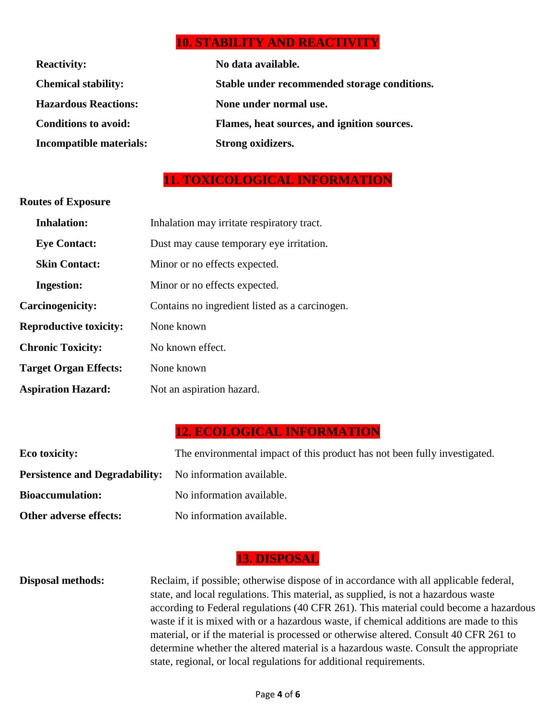# **10. STABILITY AND REACTIVITY**

| <b>Reactivity:</b>          | No data available.                           |
|-----------------------------|----------------------------------------------|
| <b>Chemical stability:</b>  | Stable under recommended storage conditions. |
| <b>Hazardous Reactions:</b> | None under normal use.                       |
| <b>Conditions to avoid:</b> | Flames, heat sources, and ignition sources.  |
| Incompatible materials:     | Strong oxidizers.                            |

# **11. TOXICOLOGICAL INFORMATION**

#### **Routes of Exposure**

| <b>Inhalation:</b>            | Inhalation may irritate respiratory tract.     |
|-------------------------------|------------------------------------------------|
| <b>Eye Contact:</b>           | Dust may cause temporary eye irritation.       |
| <b>Skin Contact:</b>          | Minor or no effects expected.                  |
| <b>Ingestion:</b>             | Minor or no effects expected.                  |
| Carcinogenicity:              | Contains no ingredient listed as a carcinogen. |
| <b>Reproductive toxicity:</b> | None known                                     |
| <b>Chronic Toxicity:</b>      | No known effect.                               |
| <b>Target Organ Effects:</b>  | None known                                     |
| <b>Aspiration Hazard:</b>     | Not an aspiration hazard.                      |

# **12. ECOLOGICAL INFORMATION**

| Eco toxicity:                                                   | The environmental impact of this product has not been fully investigated. |
|-----------------------------------------------------------------|---------------------------------------------------------------------------|
| <b>Persistence and Degradability:</b> No information available. |                                                                           |
| <b>Bioaccumulation:</b>                                         | No information available.                                                 |
| Other adverse effects:                                          | No information available.                                                 |

# **13. DISPOSAL**

#### **Disposal methods:** Reclaim, if possible; otherwise dispose of in accordance with all applicable federal, state, and local regulations. This material, as supplied, is not a hazardous waste according to Federal regulations (40 CFR 261). This material could become a hazardous waste if it is mixed with or a hazardous waste, if chemical additions are made to this material, or if the material is processed or otherwise altered. Consult 40 CFR 261 to determine whether the altered material is a hazardous waste. Consult the appropriate state, regional, or local regulations for additional requirements.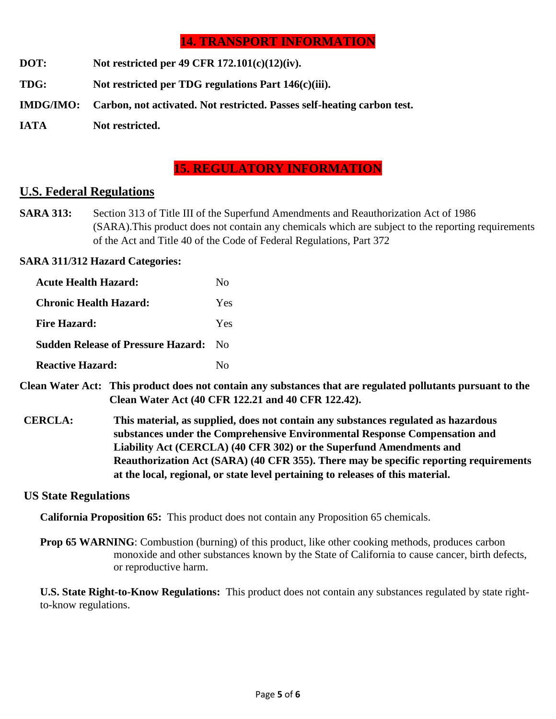# **14. TRANSPORT INFORMATION**

- **DOT: Not restricted per 49 CFR 172.101(c)(12)(iv).**
- **TDG: Not restricted per TDG regulations Part 146(c)(iii).**
- **IMDG/IMO: Carbon, not activated. Not restricted. Passes self-heating carbon test.**
- **IATA Not restricted.**

# **15. REGULATORY INFORMATION**

#### **U.S. Federal Regulations**

**SARA 313:** Section 313 of Title III of the Superfund Amendments and Reauthorization Act of 1986 (SARA).This product does not contain any chemicals which are subject to the reporting requirements of the Act and Title 40 of the Code of Federal Regulations, Part 372

#### **SARA 311/312 Hazard Categories:**

| <b>Acute Health Hazard:</b>               | Nο           |
|-------------------------------------------|--------------|
| <b>Chronic Health Hazard:</b>             | <b>Yes</b>   |
| <b>Fire Hazard:</b>                       | <b>Yes</b>   |
| <b>Sudden Release of Pressure Hazard:</b> | No.          |
| Reactive Hazard:                          | $N_{\Omega}$ |

- **Clean Water Act: This product does not contain any substances that are regulated pollutants pursuant to the Clean Water Act (40 CFR 122.21 and 40 CFR 122.42).**
- **CERCLA: This material, as supplied, does not contain any substances regulated as hazardous substances under the Comprehensive Environmental Response Compensation and Liability Act (CERCLA) (40 CFR 302) or the Superfund Amendments and Reauthorization Act (SARA) (40 CFR 355). There may be specific reporting requirements at the local, regional, or state level pertaining to releases of this material.**

#### **US State Regulations**

**California Proposition 65:** This product does not contain any Proposition 65 chemicals.

**Prop 65 WARNING**: Combustion (burning) of this product, like other cooking methods, produces carbon monoxide and other substances known by the State of California to cause cancer, birth defects, or reproductive harm.

**U.S. State Right-to-Know Regulations:** This product does not contain any substances regulated by state rightto-know regulations.